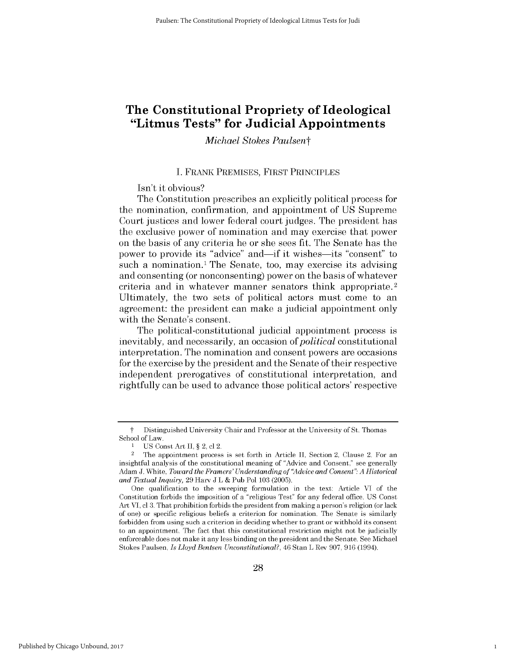# **The Constitutional Propriety of Ideological "Litmus Tests" for Judicial Appointments**

*Michael Stokes Paulsent*

### **I.** FRANK PREMISES, FIRST PRINCIPLES

Isn't it obvious?

The Constitution prescribes an explicitly political process for the nomination, confirmation, and appointment of **US** Supreme Court justices and lower federal court judges. The president has the exclusive power of nomination and may exercise that power on the basis of any criteria he or she *sees* fit. The Senate has the power to provide its "advice" and—if it wishes—its "consent" to such a nomination.<sup>1</sup> The Senate, too, may exercise its advising and consenting (or nonconsenting) power on the basis of whatever criteria and in whatever manner senators think appropriate. <sup>2</sup> Ultimately, the two sets of political actors must come to an agreement: the president can make a judicial appointment only with the Senate's consent.

The political-constitutional judicial appointment process **is** inevitably, and necessarily, an occasion of *political* constitutional interpretation. The nomination and consent powers are occasions for the exercise **by** the president and the Senate of their respective independent prerogatives of constitutional interpretation, and rightfully can be used to advance those political actors' respective

1

t Distinguished University Chair and Professor at the University of St. Thomas School of Law.

<sup>1</sup> **US** Const Art **II, §** 2, **cl** 2.

<sup>2</sup>The appointment process is set forth in Article **II,** Section 2, Clause 2. For an insightful analysis of the constitutional meaning of "Advice and Consent," see generally Adam **J.** White, *Toward the Framers' Understanding of "Advice and Consent": A Historical and Textual Inquiry,* **29** Harv **J** L **&** Pub Pol **103 (2005).**

One qualification to the sweeping formulation in the text: Article **VI** of the Constitution forbids the imposition of a "religious Test" for any federal office. **US** Const Art VI, **cl 3.** That prohibition forbids the president from making a person's religion (or lack of one) or specific religious beliefs a criterion for nomination. The Senate is similarly forbidden from using such a criterion in deciding whether to grant or withhold its consent to an appointment. The fact that this constitutional restriction might not be judicially enforceable does not make **it** any less binding on the president and the Senate. See Michael Stokes Paulsen, *Is Lloyd Bentsen Unconstitutional?, 46* Stan L Rev **907, 916** (1994).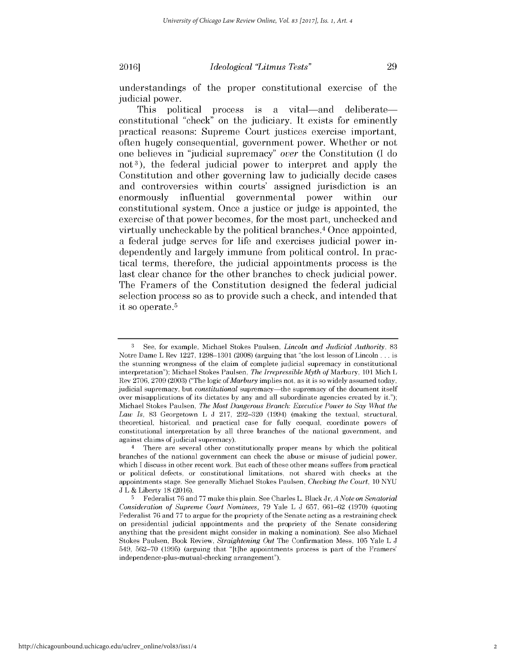understandings of the proper constitutional exercise of the judicial power.

This political process is a vital—and deliberate constitutional "check" on the judiciary. It exists for eminently practical reasons: Supreme Court justices exercise important, often hugely consequential, government power. Whether or not one believes in "judicial supremacy" *over* the Constitution **(I** do not <sup>3</sup> ), the federal judicial power to interpret and apply the Constitution and other governing law to judicially decide cases and controversies within courts' assigned jurisdiction is an enormously influential governmental power within our constitutional system. Once a justice or judge is appointed, the exercise of that power becomes, for the most part, unchecked and virtually uncheckable **by** the political branches.<sup>4</sup>Once appointed, a federal judge serves for life and exercises judicial power independently and largely immune from political control. In practical terms, therefore, the judicial appointments process is the last clear chance for the other branches to check judicial power. The Framers of the Constitution designed the federal judicial selection process so as to provide such a check, and intended that it so operate.<sup>5</sup>

**<sup>3</sup>**See, for example, Michael Stokes Paulsen, *Lincoln and Judicial Authority, 83* Notre Dame L Rev **1227, 1298-1301 (2008)** (arguing that "the lost lesson of Lincoln **. . .** is the stunning wrongness of the claim of complete judicial supremacy in constitutional interpretation"); Michael Stokes Paulsen, *The Irrepressible Myth* of Marbury, **101** Mich L Rev **2706, 2709 (2003)** ("The logic *ofMarbury* implies not, as it is so widely assumed today, judicial supremacy, but *constitutional* supremacy-the supremacy of the document itself over misapplications of its dictates **by** any and all subordinate agencies created **by** it."); Michael Stokes Paulsen, *The Most Dangerous Branch: Executive Power to Say What the Law Is,* **83** Georgetown L **J 217, 292-320** (1994) (making the textual, structural, theoretical, historical, and practical case for fully coequal, coordinate powers of constitutional interpretation **by** all three branches of the national government, and against claims of judicial supremacy).

<sup>4</sup> There are several other constitutionally proper means **by** which the political branches of the national government can check the abuse or misuse of judicial power, which I discuss in other recent work. But each of these other means suffers from practical or political defects, or constitutional limitations, not shared with checks at the appointments stage. See generally Michael Stokes Paulsen, *Checking the Court, 10* **NYU J** L **&** Liberty **18 (2016).**

**<sup>5</sup>**Federalist **76** and **77** make this plain. See Charles L. Black Jr, *A Note on Senatorial Consideration of Supreme Court Nominees,* **79** Yale L **J 657, 661-62 (1970)** (quoting Federalist **76** and **77** to argue for the propriety of the Senate acting as a restraining check on presidential judicial appointments and the propriety of the Senate considering anything that the president might consider in making a nomination). See also Michael Stokes Paulsen, Book Review, *Straightening Out* The Confirmation Mess, **105** Yale L **J** 549, **562-70 (1995)** (arguing that "[t]he appointments process is part of the Framers' independence-plus-mutual-checking arrangement").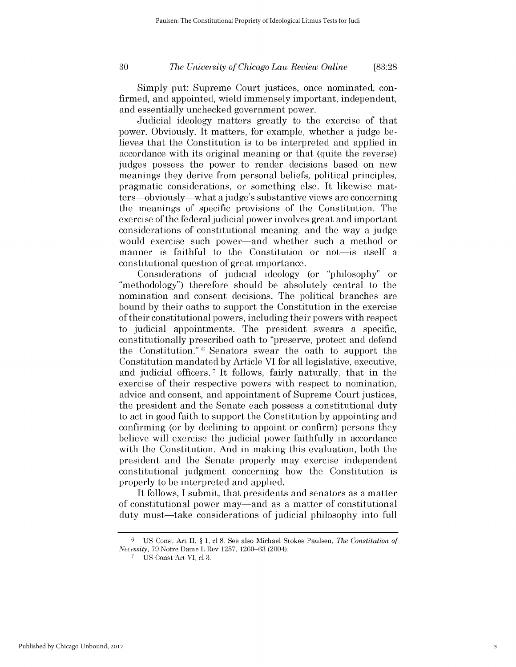*The University of Chicago Law Review Online* **30 [83:28**

Simply put: Supreme Court justices, once nominated, confirmed, and appointed, wield immensely important, independent, and essentially unchecked government power.

Judicial ideology matters greatly to the exercise of that power. Obviously. It matters, for example, whether a judge believes that the Constitution is to be interpreted and applied in accordance with its original meaning or that (quite the reverse) judges possess the power to render decisions based on new meanings they derive from personal beliefs, political principles, pragmatic considerations, or something else. It likewise matters-obviously-what a judge's substantive views are concerning the meanings of specific provisions of the Constitution. The exercise of the federal judicial power involves great and important considerations of constitutional meaning, and the way a judge would exercise such power-and whether such a method or manner is faithful to the Constitution or not—is itself a constitutional question of great importance.

Considerations of judicial ideology (or "philosophy" or "methodology") therefore should be absolutely central to the nomination and consent decisions. The political branches are bound **by** their oaths to support the Constitution in the exercise of their constitutional powers, including their powers with respect to judicial appointments. The president swears a specific, constitutionally prescribed oath to "preserve, protect and defend the Constitution." **6** Senators swear the oath to support the Constitution mandated **by** Article VI for all legislative, executive, and judicial officers. **7** It **follows,** fairly naturally, that in the exercise of their respective powers with respect to nomination, advice and consent, and appointment of Supreme Court justices, the president and the Senate each possess a constitutional duty to act in good faith to support the Constitution **by** appointing and confirming (or **by** declining to appoint or confirm) persons they believe will exercise the judicial power faithfully in accordance with the Constitution. And in making this evaluation, both the president and the Senate properly may exercise independent constitutional judgment concerning how the Constitution **is** properly to be interpreted and applied.

It follows, **I** submit, that presidents and senators as a matter of constitutional power may-and as a matter of constitutional duty must—take considerations of judicial philosophy into full

**<sup>6</sup>US** Const Art **II, § 1, cl 8.** See also Michael Stokes Paulsen, *The Constitution of Necessity,* **79** Notre Dame L Rev **1257, 1260-63** (2004).

**<sup>7</sup> US** Const Art VI, **cl 3.**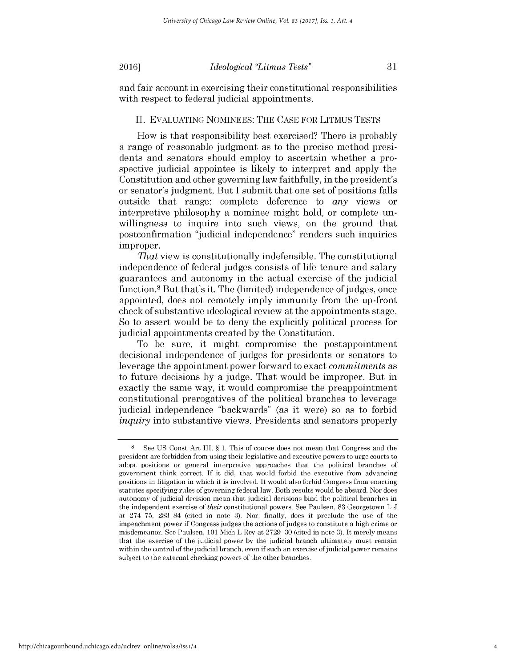# *Ideological 'Litmus Tests"* 20161 **31**

and fair account in exercising their constitutional responsibilities with respect to federal judicial appointments.

#### **II. EVALUATING** NOMINEES: **THE CASE** FOR LITMUS **TESTS**

How is that responsibility best exercised? There is probably a range of reasonable judgment as to the precise method presidents and senators should employ to ascertain whether a prospective judicial appointee is likely to interpret and apply the Constitution and other governing law faithfully, in the president's or senator's judgment. But **I** submit that one set of positions falls outside that range: complete deference to *any* views or interpretive philosophy a nominee might hold, or complete unwillingness to inquire into such views, on the ground that postconfirmation "judicial independence" renders such inquiries improper.

That view is constitutionally indefensible. The constitutional independence of federal judges consists of life tenure and salary guarantees and autonomy in the actual exercise of the judicial function.<sup>8</sup> But that's it. The (limited) independence of judges, once appointed, does not remotely imply immunity from the up-front check of substantive ideological review at the appointments stage. So to assert would be to deny the explicitly political process for judicial appointments created **by** the Constitution.

To be sure, it might compromise the postappointment decisional independence of judges for presidents or senators to leverage the appointment power forward to exact *commitments* as to future decisions **by** a judge. That would be improper. But in exactly the same way, it would compromise the preappointment constitutional prerogatives of the political branches to leverage judicial independence "backwards" (as it were) so as to forbid *inquiry* into substantive views. Presidents and senators properly

**<sup>8</sup>See US** Const Art III, *§* **1.** This of course does not mean that Congress and the president are forbidden from using their legislative and executive powers to urge courts to adopt positions or general interpretive approaches that the political branches of government think correct. **If** it did, that would forbid the executive from advancing positions in litigation in which it is involved. It would also forbid Congress from enacting statutes specifying rules of governing federal law. Both results would be absurd. Nor does autonomy of judicial decision mean that judicial decisions bind the political branches in the independent exercise of *their* constitutional powers. See Paulsen, **83** Georgetown L **J** at **274-75, 283-84** (cited in note **3).** Nor, finally, does it preclude the use of the impeachment power if Congress judges the actions of judges to constitute a high crime or misdemeanor. See Paulsen, **101** Mich L Rev at **2729-30** (cited in note **3).** It merely means that the exercise of the judicial power **by** the judicial branch ultimately must remain within the control of the judicial branch, even if such an exercise of judicial power remains subject to the external checking powers of the other branches.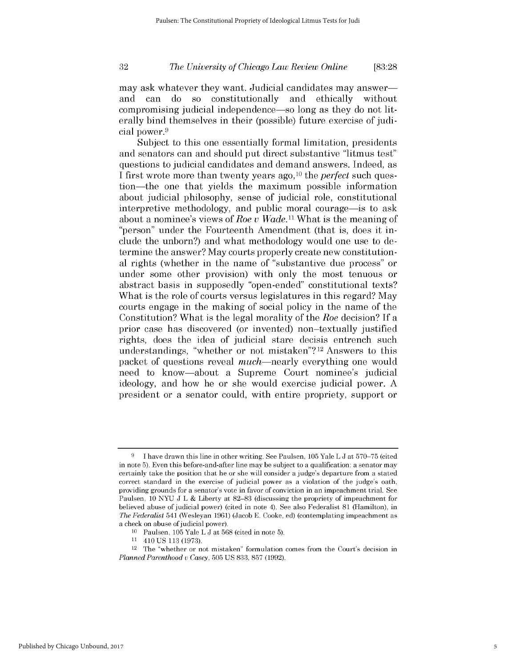*The University of Chicago Law Review Online* **32 [83:28**

may ask whatever they want. Judicial candidates may answer and can do so constitutionally and ethically without compromising judicial independence-so long as they do not literally bind themselves in their (possible) future exercise of judicial power.<sup>9</sup>

Subject to this one essentially formal limitation, presidents and senators can and should put direct substantive "litmus test" questions to judicial candidates and demand answers. Indeed, as *I* first wrote more than twenty years ago,<sup>10</sup> the *perfect* such question-the one that yields the maximum possible information about judicial philosophy, sense of judicial role, constitutional interpretive methodology, and public moral courage—is to ask about a nominee's views of *Roe v Wade."* What is the meaning of "person" under the Fourteenth Amendment (that is, does it include the unborn?) and what methodology would one use to determine the answer? May courts properly create new constitutional rights (whether in the name of "substantive due process" or under some other provision) with only the most tenuous or abstract basis in supposedly "open-ended" constitutional texts? What is the role of courts versus legislatures in this regard? May courts engage in the making of social policy in the name of the Constitution? What is the legal morality of the *Roe* decision? **If** a prior case has discovered (or invented) non-textually justified rights, does the idea of judicial stare decisis entrench such understandings, "whether or not mistaken"?12 Answers to this packet of questions reveal *much*—nearly everything one would need to know-about a Supreme Court nominee's judicial ideology, and how he or she would exercise judicial power. **A** president or a senator could, with entire propriety, support or

**<sup>9</sup>**I have drawn this line in other writing. See Paulsen, **105** Yale L **J** at **570-75** (cited in note **5).** Even this before-and-after line may be subject to a qualification: a senator may certainly take the position that he or she will consider a judge's departure from a stated correct standard in the exercise of judicial power as a violation of the judge's oath, providing grounds for a senator's vote in favor of conviction in an impeachment trial. See Paulsen, **10 NYU J** L **&** Liberty at **82-83** (discussing the propriety of impeachment for believed abuse of judicial power) (cited in note 4). See also Federalist **81** (Hamilton), in *The Federalist* 541 (Wesleyan **1961)** (Jacob **E.** Cooke, ed) (contemplating impeachment as a check on abuse of judicial power).

**<sup>10</sup>**Paulsen, **105** Yale L **J** at **568** (cited in note **5).**

**<sup>11</sup>**410 **US 113 (1973).**

<sup>12</sup> The "whether or not mistaken" formulation comes from the Court's decision in *Planned Parenthood* v *Casey,* **505 US 833, 857 (1992).**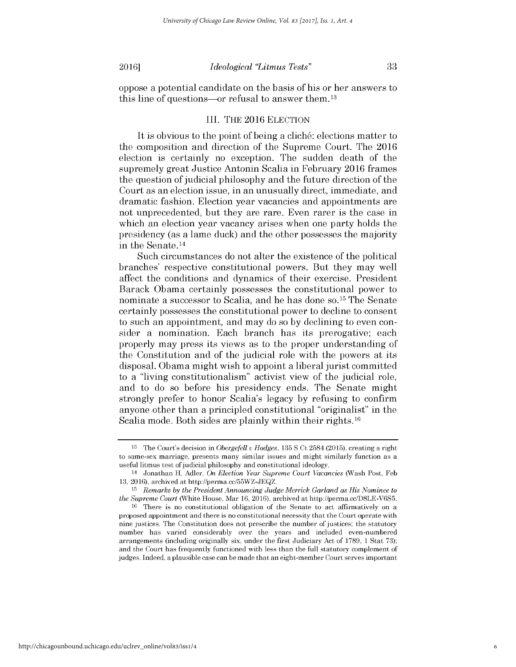oppose a potential candidate on the basis of his or her answers to this line of questions—or refusal to answer them.<sup>13</sup>

## III. **THE 2016 ELECTION**

It is obvious to the point of being a **clich6:** elections matter to the composition and direction of the Supreme Court. The **2016** election is certainly no exception. The sudden death of the supremely great Justice Antonin Scalia in February **2016** frames the question of judicial philosophy and the future direction of the Court as an election issue, in an unusually direct, immediate, and dramatic fashion. Election year vacancies and appointments are not unprecedented, but they are rare. Even rarer is the case in which an election year vacancy arises when one party holds the presidency (as a lame duck) and the other possesses the majority in the Senate.<sup>14</sup>

Such circumstances do not alter the existence of the political branches' respective constitutional powers. But they may well affect the conditions and dynamics of their exercise. President Barack Obama certainly possesses the constitutional power to nominate a successor to Scalia, and he has done **so. <sup>1</sup>5** The Senate certainly possesses the constitutional power to decline to consent to such an appointment, and may do so **by** declining to even consider a nomination. Each branch has its prerogative; each properly may *press its* views as to the proper understanding of the Constitution and of the judicial role with the powers at its disposal. Obama might wish to appoint a liberal jurist committed to a "living constitutionalism" activist view of the judicial role, and to do so before his presidency ends. The Senate might strongly prefer to honor Scalia's legacy **by** refusing to confirm anyone other than a principled constitutional "originalist" in the Scalia mode. Both sides are plainly within their rights.<sup>16</sup>

**<sup>13</sup>**The Court's decision in *Obergefell* v *Hodges,* **135 S** Ct 2584 **(2015),** creating a right to same-sex marriage, presents many similar issues and might similarly function as a useful litmus test of judicial philosophy and constitutional ideology.

<sup>&</sup>lt;sup>14</sup> Jonathan H. Adler, *On Election Year Supreme Court Vacancies* (Wash Post, Feb **13, 2016),** archived at http://perma.cc/55WZ-JEQZ.

**<sup>15</sup>***Remarks by the President Announcing Judge Merrick Garland as His Nominee to the Supreme Court* (White House, Mar **16, 2016),** archived at http://perma.cc/D8LE-V6S5.

**<sup>16</sup>**There is no constitutional obligation of the Senate to act affirmatively on a proposed appointment and there is no constitutional necessity that the Court operate with nine justices. The Constitution does not prescribe the number of justices; the statutory number has varied considerably over the years and included even-numbered arrangements (including originally six, under the first Judiciary Act of **1789, 1** Stat **73);** and the Court has frequently functioned with less than the full statutory complement of judges. Indeed, a plausible case can be made that an eight-member Court serves important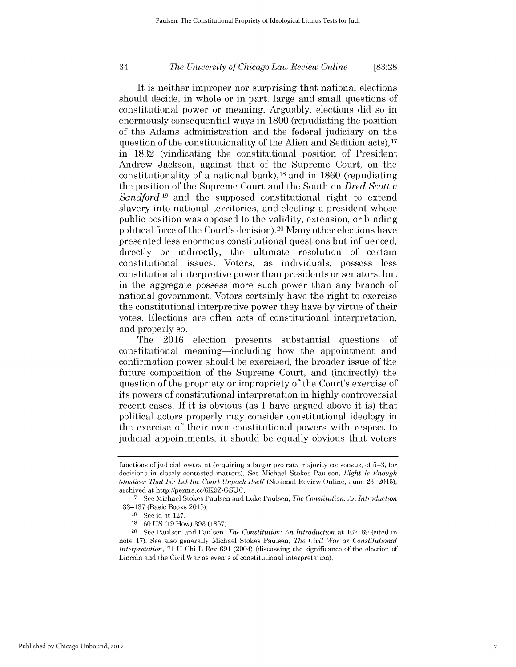# *The University of Chicago Law Review Online* 34 **[83:28**

It is neither improper nor surprising that national elections should decide, in whole or in part, large and small questions of constitutional power or meaning. Arguably, elections **did** so in enormously consequential ways in **1800** (repudiating the position of the Adams administration and the federal judiciary on the question of the constitutionality of the Alien and Sedition acts), <sup>17</sup> in **1832** (vindicating the constitutional position of President Andrew Jackson, against that of the Supreme Court, on the constitutionality of a national bank),<sup>18</sup>and in **1860** (repudiating the position of the Supreme Court and the South on *Dred Scott v Sandford* **19** and the supposed constitutional right to extend slavery into national territories, and electing a president whose public position was opposed to the validity, extension, or binding political force of the Court's decision). <sup>20</sup>Many other elections have presented less enormous constitutional questions but influenced, directly or indirectly, the ultimate resolution of certain constitutional issues. Voters, as individuals, *possess less* constitutional interpretive power than presidents or senators, but in the aggregate possess more such power than any branch of national government. Voters certainly have the right to exercise the constitutional interpretive power they have **by** virtue of their votes. Elections are often acts of constitutional interpretation, and properly so.

The **2016** election presents substantial questions of constitutional meaning-including how the appointment and confirmation power should be exercised, the broader issue of the future composition of the Supreme Court, and (indirectly) the question of the propriety or impropriety of the Court's exercise of its powers of constitutional interpretation in **highly** controversial recent cases. **If** it is obvious (as **I** have argued above it is) that political actors properly may consider constitutional ideology in the exercise of their own constitutional powers with respect to judicial appointments, it should be equally obvious that voters

functions of judicial restraint (requiring a larger pro rata majority consensus, of **5-3,** for decisions in closely contested matters). See Michael Stokes Paulsen, *Eight Is Enough (Justices That Is): Let the Court Unpack Itself* (National Review Online, June **23, 2015),** archived at http://perma.cc/6K9Z-GSUC.

**<sup>17</sup>**See Michael Stokes Paulsen and Luke Paulsen, *The Constitution: An Introduction* **133-137** (Basic Books **2015).**

**<sup>18</sup>**See id at **127.**

**<sup>19</sup>60 US (19** How) **393 (1857).**

<sup>20</sup>See Paulsen and Paulsen, *The Constitution: An Introduction* at **162-69** (cited in note **17).** See also generally Michael Stokes Paulsen, *The Civil War as Constitutional Interpretation,* **71 U** Chi L Rev **691** (2004) (discussing the significance of the election **of** Lincoln and the Civil War as events of constitutional interpretation).